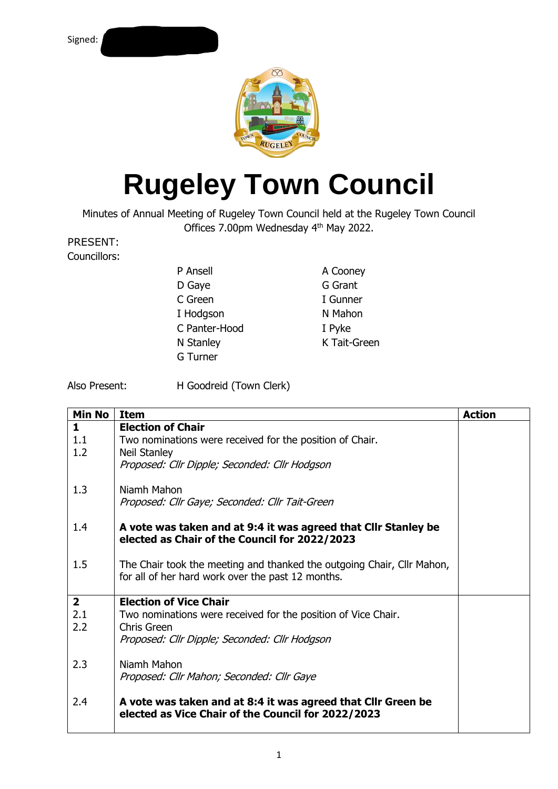

## **Rugeley Town Council**

Minutes of Annual Meeting of Rugeley Town Council held at the Rugeley Town Council Offices 7.00pm Wednesday 4<sup>th</sup> May 2022.

## PRESENT:

Councillors:

| P Ansell      | A Cooney     |
|---------------|--------------|
| D Gaye        | G Grant      |
| C Green       | I Gunner     |
| I Hodgson     | N Mahon      |
| C Panter-Hood | I Pyke       |
| N Stanley     | K Tait-Green |
| G Turner      |              |

Also Present: H Goodreid (Town Clerk)

| <b>Min No</b>  | <b>Item</b>                                                            | <b>Action</b> |
|----------------|------------------------------------------------------------------------|---------------|
| 1.             | <b>Election of Chair</b>                                               |               |
| 1.1            | Two nominations were received for the position of Chair.               |               |
| 1.2            | Neil Stanley                                                           |               |
|                | Proposed: Cllr Dipple; Seconded: Cllr Hodgson                          |               |
|                | Niamh Mahon                                                            |               |
| 1.3            | Proposed: Cllr Gaye; Seconded: Cllr Tait-Green                         |               |
|                |                                                                        |               |
| 1.4            | A vote was taken and at 9:4 it was agreed that Cllr Stanley be         |               |
|                | elected as Chair of the Council for 2022/2023                          |               |
|                |                                                                        |               |
| 1.5            | The Chair took the meeting and thanked the outgoing Chair, Cllr Mahon, |               |
|                | for all of her hard work over the past 12 months.                      |               |
| $\overline{2}$ | <b>Election of Vice Chair</b>                                          |               |
| 2.1            | Two nominations were received for the position of Vice Chair.          |               |
| 2.2            | Chris Green                                                            |               |
|                | Proposed: Cllr Dipple; Seconded: Cllr Hodgson                          |               |
|                |                                                                        |               |
| 2.3            | Niamh Mahon                                                            |               |
|                | Proposed: Cllr Mahon; Seconded: Cllr Gaye                              |               |
|                |                                                                        |               |
| 2.4            | A vote was taken and at 8:4 it was agreed that Cllr Green be           |               |
|                | elected as Vice Chair of the Council for 2022/2023                     |               |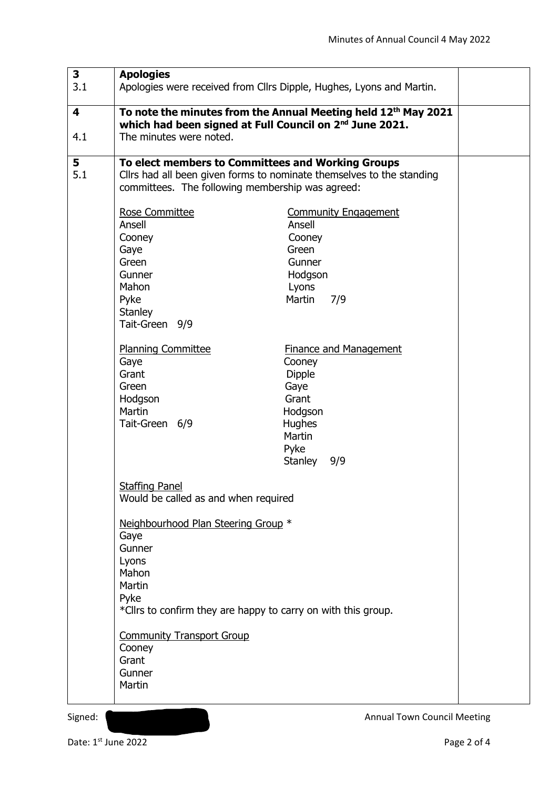| 3<br>3.1 | <b>Apologies</b>                                                                                                                                                                                                                                                              | Apologies were received from Cllrs Dipple, Hughes, Lyons and Martin.                                                                                                                 |
|----------|-------------------------------------------------------------------------------------------------------------------------------------------------------------------------------------------------------------------------------------------------------------------------------|--------------------------------------------------------------------------------------------------------------------------------------------------------------------------------------|
| 4<br>4.1 | which had been signed at Full Council on 2 <sup>nd</sup> June 2021.<br>The minutes were noted.                                                                                                                                                                                | To note the minutes from the Annual Meeting held 12th May 2021                                                                                                                       |
| 5<br>5.1 | To elect members to Committees and Working Groups<br>Cllrs had all been given forms to nominate themselves to the standing<br>committees. The following membership was agreed:                                                                                                |                                                                                                                                                                                      |
|          | Rose Committee<br>Ansell<br>Cooney<br>Gaye<br>Green<br>Gunner<br>Mahon<br>Pyke<br>Stanley<br>Tait-Green 9/9<br><b>Planning Committee</b><br>Gaye<br>Grant<br>Green<br>Hodgson                                                                                                 | <b>Community Engagement</b><br>Ansell<br>Cooney<br>Green<br>Gunner<br>Hodgson<br>Lyons<br>Martin<br>7/9<br><b>Finance and Management</b><br>Cooney<br><b>Dipple</b><br>Gaye<br>Grant |
|          | Martin<br>Tait-Green 6/9<br><b>Staffing Panel</b>                                                                                                                                                                                                                             | Hodgson<br><b>Hughes</b><br>Martin<br>Pyke<br>Stanley<br>9/9                                                                                                                         |
|          | Would be called as and when required<br>Neighbourhood Plan Steering Group *<br>Gaye<br>Gunner<br>Lyons<br>Mahon<br>Martin<br>Pyke<br>*Cllrs to confirm they are happy to carry on with this group.<br><b>Community Transport Group</b><br>Cooney<br>Grant<br>Gunner<br>Martin |                                                                                                                                                                                      |

Date: 1<sup>st</sup> June 2022 Page 2 of 4

Signed: **Annual Town Council Meeting**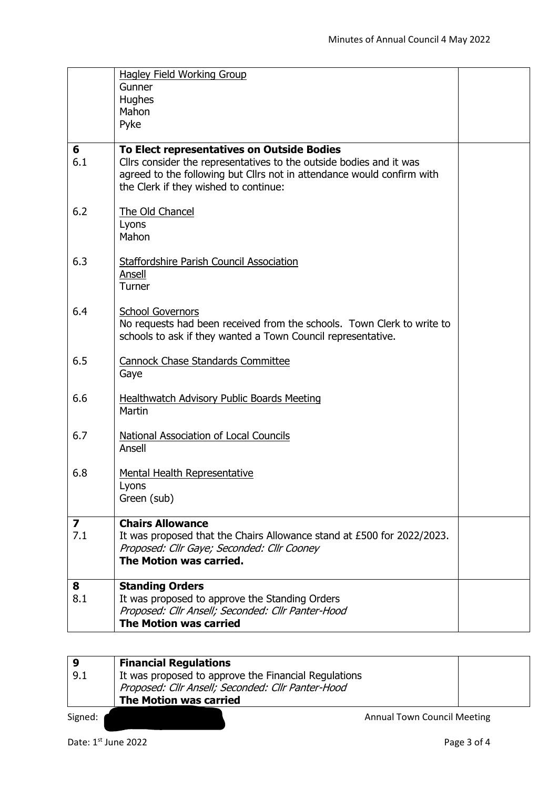|     | <b>Hagley Field Working Group</b>                                      |  |
|-----|------------------------------------------------------------------------|--|
|     | Gunner                                                                 |  |
|     | Hughes                                                                 |  |
|     | Mahon                                                                  |  |
|     | Pyke                                                                   |  |
|     |                                                                        |  |
| 6   | To Elect representatives on Outside Bodies                             |  |
| 6.1 | Cllrs consider the representatives to the outside bodies and it was    |  |
|     | agreed to the following but Cllrs not in attendance would confirm with |  |
|     | the Clerk if they wished to continue:                                  |  |
|     |                                                                        |  |
| 6.2 | The Old Chancel                                                        |  |
|     | Lyons                                                                  |  |
|     | Mahon                                                                  |  |
|     |                                                                        |  |
| 6.3 | <b>Staffordshire Parish Council Association</b>                        |  |
|     | Ansell                                                                 |  |
|     | Turner                                                                 |  |
| 6.4 | <b>School Governors</b>                                                |  |
|     | No requests had been received from the schools. Town Clerk to write to |  |
|     | schools to ask if they wanted a Town Council representative.           |  |
|     |                                                                        |  |
| 6.5 | <b>Cannock Chase Standards Committee</b>                               |  |
|     | Gaye                                                                   |  |
|     |                                                                        |  |
| 6.6 | Healthwatch Advisory Public Boards Meeting                             |  |
|     | Martin                                                                 |  |
|     |                                                                        |  |
| 6.7 | <b>National Association of Local Councils</b>                          |  |
|     | Ansell                                                                 |  |
|     |                                                                        |  |
| 6.8 | <b>Mental Health Representative</b>                                    |  |
|     | Lyons                                                                  |  |
|     | Green (sub)                                                            |  |
| 7   | <b>Chairs Allowance</b>                                                |  |
| 7.1 | It was proposed that the Chairs Allowance stand at £500 for 2022/2023. |  |
|     | Proposed: Cllr Gaye; Seconded: Cllr Cooney                             |  |
|     | The Motion was carried.                                                |  |
|     |                                                                        |  |
| 8   | <b>Standing Orders</b>                                                 |  |
| 8.1 | It was proposed to approve the Standing Orders                         |  |
|     | Proposed: Cllr Ansell; Seconded: Cllr Panter-Hood                      |  |
|     | <b>The Motion was carried</b>                                          |  |
|     |                                                                        |  |

| -9      | <b>Financial Regulations</b>                         |  |
|---------|------------------------------------------------------|--|
| 9.1     | It was proposed to approve the Financial Regulations |  |
|         | Proposed: Cllr Ansell; Seconded: Cllr Panter-Hood    |  |
|         | <b>The Motion was carried</b>                        |  |
| Signed: | <b>Annual Town Council Meeting</b>                   |  |